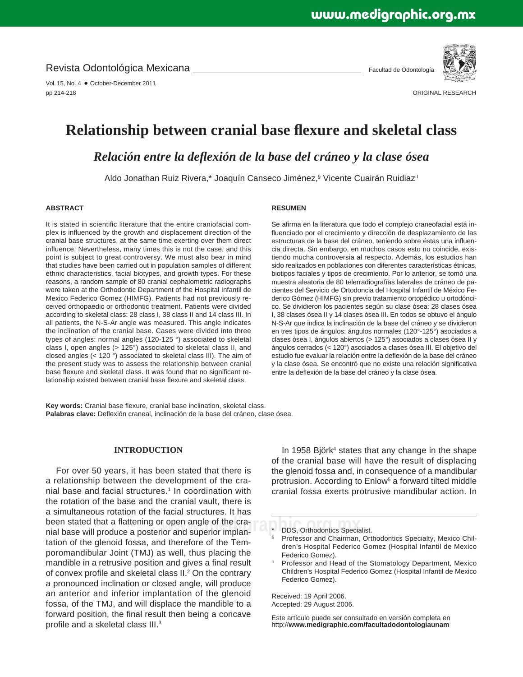Revista Odontológica Mexicana

Vol. 15, No. 4 · October-December 2011 pp 214-218

Facultad de Odontología



ORIGINAL RESEARCH

# **Relationship between cranial base flexure and skeletal class**

*Relación entre la defl exión de la base del cráneo y la clase ósea*

Aldo Jonathan Ruiz Rivera,\* Joaquín Canseco Jiménez,§ Vicente Cuairán Ruidiaz"

## **ABSTRACT**

It is stated in scientific literature that the entire craniofacial complex is influenced by the growth and displacement direction of the cranial base structures, at the same time exerting over them direct influence. Nevertheless, many times this is not the case, and this point is subject to great controversy. We must also bear in mind that studies have been carried out in population samples of different ethnic characteristics, facial biotypes, and growth types. For these reasons, a random sample of 80 cranial cephalometric radiographs were taken at the Orthodontic Department of the Hospital Infantil de Mexico Federico Gomez (HIMFG). Patients had not previously received orthopaedic or orthodontic treatment. Patients were divided according to skeletal class: 28 class I, 38 class II and 14 class III. In all patients, the N-S-Ar angle was measured. This angle indicates the inclination of the cranial base. Cases were divided into three types of angles: normal angles (120-125 °) associated to skeletal class I, open angles (> 125°) associated to skeletal class II, and closed angles (< 120 °) associated to skeletal class III). The aim of the present study was to assess the relationship between cranial base flexure and skeletal class. It was found that no significant relationship existed between cranial base flexure and skeletal class.

## **RESUMEN**

Se afirma en la literatura que todo el complejo craneofacial está influenciado por el crecimiento y dirección de desplazamiento de las estructuras de la base del cráneo, teniendo sobre éstas una influencia directa. Sin embargo, en muchos casos esto no coincide, existiendo mucha controversia al respecto. Además, los estudios han sido realizados en poblaciones con diferentes características étnicas, biotipos faciales y tipos de crecimiento. Por lo anterior, se tomó una muestra aleatoria de 80 telerradiografías laterales de cráneo de pacientes del Servicio de Ortodoncia del Hospital Infantil de México Federico Gómez (HIMFG) sin previo tratamiento ortopédico u ortodóncico. Se dividieron los pacientes según su clase ósea: 28 clases ósea I, 38 clases ósea II y 14 clases ósea III. En todos se obtuvo el ángulo N-S-Ar que indica la inclinación de la base del cráneo y se dividieron en tres tipos de ángulos: ángulos normales (120°-125°) asociados a clases ósea I, ángulos abiertos (> 125°) asociados a clases ósea II y ángulos cerrados (< 120°) asociados a clases ósea III. El objetivo del estudio fue evaluar la relación entre la deflexión de la base del cráneo y la clase ósea. Se encontró que no existe una relación significativa entre la deflexión de la base del cráneo y la clase ósea.

Key words: Cranial base flexure, cranial base inclination, skeletal class. Palabras clave: Deflexión craneal, inclinación de la base del cráneo, clase ósea.

# **INTRODUCTION**

**r** open angle of the cra-<br>ior and superior implan-\_\_\_\_\_\_\*\_\_DDS, Orthodontics Specialist. For over 50 years, it has been stated that there is a relationship between the development of the cranial base and facial structures.<sup>1</sup> In coordination with the rotation of the base and the cranial vault, there is a simultaneous rotation of the facial structures. It has been stated that a flattening or open angle of the cranial base will produce a posterior and superior implantation of the glenoid fossa, and therefore of the Temporomandibular Joint (TMJ) as well, thus placing the mandible in a retrusive position and gives a final result of convex profile and skeletal class  $II.^2$  On the contrary a pronounced inclination or closed angle, will produce an anterior and inferior implantation of the glenoid fossa, of the TMJ, and will displace the mandible to a forward position, the final result then being a concave profile and a skeletal class  $III.^3$ 

In 1958 Björk<sup>4</sup> states that any change in the shape of the cranial base will have the result of displacing the glenoid fossa and, in consequence of a mandibular protrusion. According to Enlow<sup>5</sup> a forward tilted middle cranial fossa exerts protrusive mandibular action. In

Received: 19 April 2006. Accepted: 29 August 2006.

Este artículo puede ser consultado en versión completa en http://**www.medigraphic.com/facultadodontologiaunam**

<sup>§</sup> Professor and Chairman, Orthodontics Specialty, Mexico Children's Hospital Federico Gomez (Hospital Infantil de Mexico Federico Gomez).

Professor and Head of the Stomatology Department, Mexico Children's Hospital Federico Gomez (Hospital Infantil de Mexico Federico Gomez).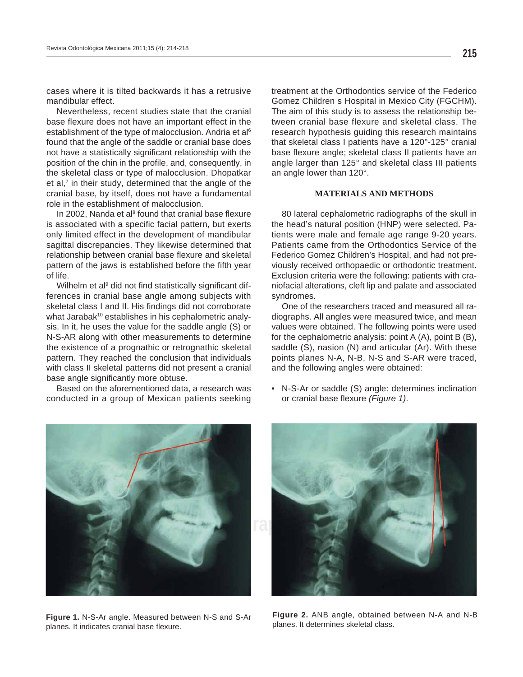cases where it is tilted backwards it has a retrusive mandibular effect.

Nevertheless, recent studies state that the cranial base flexure does not have an important effect in the establishment of the type of malocclusion. Andria et al<sup>6</sup> found that the angle of the saddle or cranial base does not have a statistically significant relationship with the position of the chin in the profile, and, consequently, in the skeletal class or type of malocclusion. Dhopatkar et al, $<sup>7</sup>$  in their study, determined that the angle of the</sup> cranial base, by itself, does not have a fundamental role in the establishment of malocclusion.

In 2002, Nanda et al $8$  found that cranial base flexure is associated with a specific facial pattern, but exerts only limited effect in the development of mandibular sagittal discrepancies. They likewise determined that relationship between cranial base flexure and skeletal pattern of the jaws is established before the fifth year of life.

Wilhelm et al<sup>9</sup> did not find statistically significant differences in cranial base angle among subjects with skeletal class I and II. His findings did not corroborate what Jarabak<sup>10</sup> establishes in his cephalometric analysis. In it, he uses the value for the saddle angle (S) or N-S-AR along with other measurements to determine the existence of a prognathic or retrognathic skeletal pattern. They reached the conclusion that individuals with class II skeletal patterns did not present a cranial base angle significantly more obtuse.

Based on the aforementioned data, a research was conducted in a group of Mexican patients seeking treatment at the Orthodontics service of the Federico Gomez Children s Hospital in Mexico City (FGCHM). The aim of this study is to assess the relationship between cranial base flexure and skeletal class. The research hypothesis guiding this research maintains that skeletal class I patients have a 120°-125° cranial base flexure angle; skeletal class II patients have an angle larger than 125° and skeletal class III patients an angle lower than 120°.

### **MATERIALS AND METHODS**

80 lateral cephalometric radiographs of the skull in the head's natural position (HNP) were selected. Patients were male and female age range 9-20 years. Patients came from the Orthodontics Service of the Federico Gomez Children's Hospital, and had not previously received orthopaedic or orthodontic treatment. Exclusion criteria were the following: patients with craniofacial alterations, cleft lip and palate and associated syndromes.

One of the researchers traced and measured all radiographs. All angles were measured twice, and mean values were obtained. The following points were used for the cephalometric analysis: point A (A), point B (B), saddle (S), nasion (N) and articular (Ar). With these points planes N-A, N-B, N-S and S-AR were traced, and the following angles were obtained:

• N-S-Ar or saddle (S) angle: determines inclination or cranial base flexure (Figure 1).



**Figure 1.** N-S-Ar angle. Measured between N-S and S-Ar planes. It indicates cranial base flexure.



**Figure 2.** ANB angle, obtained between N-A and N-B planes. It determines skeletal class.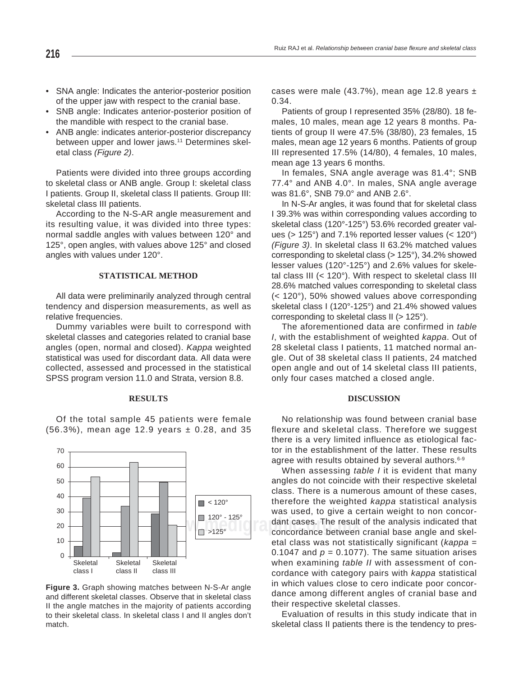- SNA angle: Indicates the anterior-posterior position of the upper jaw with respect to the cranial base.
- SNB angle: Indicates anterior-posterior position of the mandible with respect to the cranial base.
- ANB angle: indicates anterior-posterior discrepancy between upper and lower jaws.<sup>11</sup> Determines skeletal class *(Figure 2)*.

Patients were divided into three groups according to skeletal class or ANB angle. Group I: skeletal class I patients. Group II, skeletal class II patients. Group III: skeletal class III patients.

According to the N-S-AR angle measurement and its resulting value, it was divided into three types: normal saddle angles with values between 120° and 125°, open angles, with values above 125° and closed angles with values under 120°.

### **STATISTICAL METHOD**

All data were preliminarily analyzed through central tendency and dispersion measurements, as well as relative frequencies.

Dummy variables were built to correspond with skeletal classes and categories related to cranial base angles (open, normal and closed). *Kappa* weighted statistical was used for discordant data. All data were collected, assessed and processed in the statistical SPSS program version 11.0 and Strata, version 8.8.

#### **RESULTS**

Of the total sample 45 patients were female  $(56.3%)$ , mean age 12.9 years  $\pm$  0.28, and 35



**Figure 3.** Graph showing matches between N-S-Ar angle and different skeletal classes. Observe that in skeletal class II the angle matches in the majority of patients according to their skeletal class. In skeletal class I and II angles don't match.

cases were male (43.7%), mean age 12.8 years  $\pm$ 0.34.

Patients of group I represented 35% (28/80). 18 females, 10 males, mean age 12 years 8 months. Patients of group II were 47.5% (38/80), 23 females, 15 males, mean age 12 years 6 months. Patients of group III represented 17.5% (14/80), 4 females, 10 males, mean age 13 years 6 months.

In females, SNA angle average was 81.4°; SNB 77.4° and ANB 4.0°. In males, SNA angle average was 81.6°, SNB 79.0° and ANB 2.6°.

In N-S-Ar angles, it was found that for skeletal class I 39.3% was within corresponding values according to skeletal class (120°-125°) 53.6% recorded greater values (> 125°) and 7.1% reported lesser values (< 120°) *(Figure 3)*. In skeletal class II 63.2% matched values corresponding to skeletal class (> 125°), 34.2% showed lesser values (120°-125°) and 2.6% values for skeletal class III (< 120°). With respect to skeletal class III 28.6% matched values corresponding to skeletal class (< 120°), 50% showed values above corresponding skeletal class I (120°-125°) and 21.4% showed values corresponding to skeletal class II (> 125°).

The aforementioned data are confirmed in *table I*, with the establishment of weighted *kappa*. Out of 28 skeletal class I patients, 11 matched normal angle. Out of 38 skeletal class II patients, 24 matched open angle and out of 14 skeletal class III patients, only four cases matched a closed angle.

#### **DISCUSSION**

No relationship was found between cranial base flexure and skeletal class. Therefore we suggest there is a very limited influence as etiological factor in the establishment of the latter. These results agree with results obtained by several authors.<sup>6-9</sup>

**EXECUTE:** dant cases. The result of the analysis indicated that<br>a concordance between cranial base angle and skel-When assessing *table I* it is evident that many angles do not coincide with their respective skeletal class. There is a numerous amount of these cases, therefore the weighted *kappa* statistical analysis was used, to give a certain weight to non concorconcordance between cranial base angle and skeletal class was not statistically significant (*kappa* = 0.1047 and  $p = 0.1077$ ). The same situation arises when examining *table II* with assessment of concordance with category pairs with *kappa* statistical in which values close to cero indicate poor concordance among different angles of cranial base and their respective skeletal classes.

> Evaluation of results in this study indicate that in skeletal class II patients there is the tendency to pres-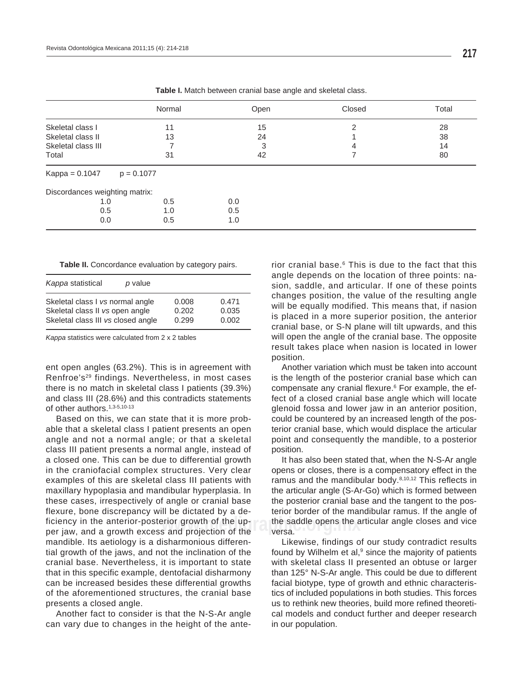|                                | Normal       | Open | Closed | Total |
|--------------------------------|--------------|------|--------|-------|
| Skeletal class I               | 11           | 15   | 2      | 28    |
| Skeletal class II              | 13           | 24   |        | 38    |
| Skeletal class III             |              | 3    | 4      | 14    |
| Total                          | 31           | 42   |        | 80    |
| $Kappa = 0.1047$               | $p = 0.1077$ |      |        |       |
| Discordances weighting matrix: |              |      |        |       |
| 1.0                            | 0.5          | 0.0  |        |       |
| 0.5                            | 1.0          | 0.5  |        |       |
| 0.0                            | 0.5          | 1.0  |        |       |

**Table I.** Match between cranial base angle and skeletal class.

Table II. Concordance evaluation by category pairs.

| Kappa statistical                  | p value |       |       |
|------------------------------------|---------|-------|-------|
| Skeletal class I vs normal angle   |         | 0.008 | 0.471 |
| Skeletal class II vs open angle    |         | 0.202 | 0.035 |
| Skeletal class III vs closed angle |         | 0.299 | 0.002 |

*Kappa* statistics were calculated from 2 x 2 tables

ent open angles (63.2%). This is in agreement with Renfroe's<sup>29</sup> findings. Nevertheless, in most cases there is no match in skeletal class I patients (39.3%) and class III (28.6%) and this contradicts statements of other authors.<sup>1,3-5,10-13</sup>

Based on this, we can state that it is more probable that a skeletal class I patient presents an open angle and not a normal angle; or that a skeletal class III patient presents a normal angle, instead of a closed one. This can be due to differential growth in the craniofacial complex structures. Very clear examples of this are skeletal class III patients with maxillary hypoplasia and mandibular hyperplasia. In these cases, irrespectively of angle or cranial base flexure, bone discrepancy will be dictated by a deficiency in the anterior-posterior growth of the upper jaw, and a growth excess and projection of the mandible. Its aetiology is a disharmonious differential growth of the jaws, and not the inclination of the cranial base. Nevertheless, it is important to state that in this specific example, dentofacial disharmony can be increased besides these differential growths of the aforementioned structures, the cranial base presents a closed angle.

Another fact to consider is that the N-S-Ar angle can vary due to changes in the height of the ante-

rior cranial base.<sup>6</sup> This is due to the fact that this angle depends on the location of three points: nasion, saddle, and articular. If one of these points changes position, the value of the resulting angle will be equally modified. This means that, if nasion is placed in a more superior position, the anterior cranial base, or S-N plane will tilt upwards, and this will open the angle of the cranial base. The opposite result takes place when nasion is located in lower position.

compensate any cranial flexure.<sup>6</sup> For example, the ef-Another variation which must be taken into account is the length of the posterior cranial base which can fect of a closed cranial base angle which will locate glenoid fossa and lower jaw in an anterior position, could be countered by an increased length of the posterior cranial base, which would displace the articular point and consequently the mandible, to a posterior position.

erior growth of the up- the saddle opens the articular angle closes and vice and vice sand vice the saddle opens<br>and projection of the sales are are and **project** and projection of the sand projection of the sales. It has also been stated that, when the N-S-Ar angle opens or closes, there is a compensatory effect in the ramus and the mandibular body. $8,10,12$  This reflects in the articular angle (S-Ar-Go) which is formed between the posterior cranial base and the tangent to the posterior border of the mandibular ramus. If the angle of versa.

> Likewise, findings of our study contradict results found by Wilhelm et al, $9$  since the majority of patients with skeletal class II presented an obtuse or larger than 125° N-S-Ar angle. This could be due to different facial biotype, type of growth and ethnic characteristics of included populations in both studies. This forces us to rethink new theories, build more refined theoretical models and conduct further and deeper research in our population.